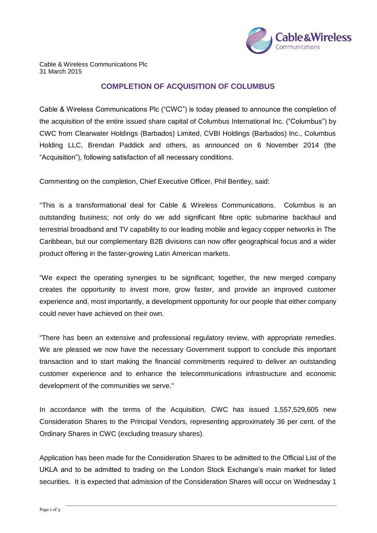

Cable & Wireless Communications Plc 31 March 2015

## **COMPLETION OF ACQUISITION OF COLUMBUS**

Cable & Wireless Communications Plc ("CWC") is today pleased to announce the completion of the acquisition of the entire issued share capital of Columbus International Inc. ("Columbus") by CWC from Clearwater Holdings (Barbados) Limited, CVBI Holdings (Barbados) Inc., Columbus Holding LLC, Brendan Paddick and others, as announced on 6 November 2014 (the "Acquisition"), following satisfaction of all necessary conditions.

Commenting on the completion, Chief Executive Officer, Phil Bentley, said:

"This is a transformational deal for Cable & Wireless Communications. Columbus is an outstanding business; not only do we add significant fibre optic submarine backhaul and terrestrial broadband and TV capability to our leading mobile and legacy copper networks in The Caribbean, but our complementary B2B divisions can now offer geographical focus and a wider product offering in the faster-growing Latin American markets.

"We expect the operating synergies to be significant; together, the new merged company creates the opportunity to invest more, grow faster, and provide an improved customer experience and, most importantly, a development opportunity for our people that either company could never have achieved on their own.

"There has been an extensive and professional regulatory review, with appropriate remedies. We are pleased we now have the necessary Government support to conclude this important transaction and to start making the financial commitments required to deliver an outstanding customer experience and to enhance the telecommunications infrastructure and economic development of the communities we serve."

In accordance with the terms of the Acquisition, CWC has issued 1,557,529,605 new Consideration Shares to the Principal Vendors, representing approximately 36 per cent. of the Ordinary Shares in CWC (excluding treasury shares).

Application has been made for the Consideration Shares to be admitted to the Official List of the UKLA and to be admitted to trading on the London Stock Exchange's main market for listed securities. It is expected that admission of the Consideration Shares will occur on Wednesday 1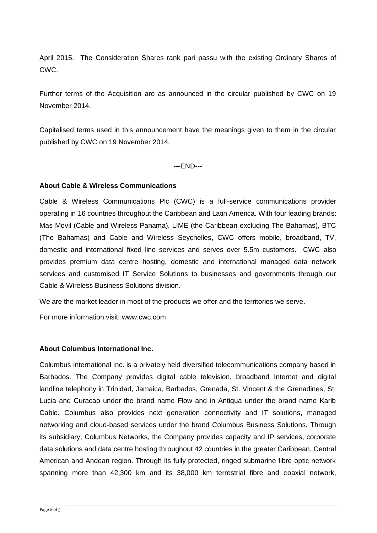April 2015. The Consideration Shares rank pari passu with the existing Ordinary Shares of CWC.

Further terms of the Acquisition are as announced in the circular published by CWC on 19 November 2014.

Capitalised terms used in this announcement have the meanings given to them in the circular published by CWC on 19 November 2014.

---END---

## **About Cable & Wireless Communications**

Cable & Wireless Communications Plc (CWC) is a full-service communications provider operating in 16 countries throughout the Caribbean and Latin America. With four leading brands: Mas Movil (Cable and Wireless Panama), LIME (the Caribbean excluding The Bahamas), BTC (The Bahamas) and Cable and Wireless Seychelles, CWC offers mobile, broadband, TV, domestic and international fixed line services and serves over 5.5m customers. CWC also provides premium data centre hosting, domestic and international managed data network services and customised IT Service Solutions to businesses and governments through our Cable & Wireless Business Solutions division.

We are the market leader in most of the products we offer and the territories we serve.

For more information visit: www.cwc.com.

## **About Columbus International Inc.**

Columbus International Inc. is a privately held diversified telecommunications company based in Barbados. The Company provides digital cable television, broadband Internet and digital landline telephony in Trinidad, Jamaica, Barbados, Grenada, St. Vincent & the Grenadines, St. Lucia and Curacao under the brand name Flow and in Antigua under the brand name Karib Cable. Columbus also provides next generation connectivity and IT solutions, managed networking and cloud-based services under the brand Columbus Business Solutions. Through its subsidiary, Columbus Networks, the Company provides capacity and IP services, corporate data solutions and data centre hosting throughout 42 countries in the greater Caribbean, Central American and Andean region. Through its fully protected, ringed submarine fibre optic network spanning more than 42,300 km and its 38,000 km terrestrial fibre and coaxial network,